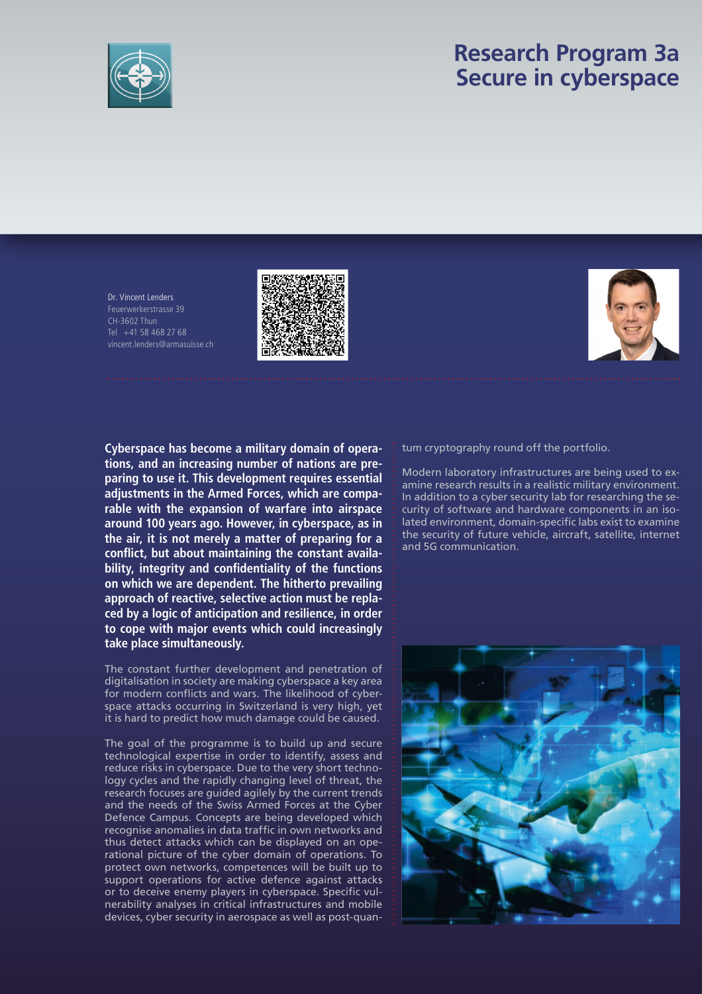

## **Research Program 3a Secure in cyberspace**

Dr. Vincent Lenders Feuerwerkerstrasse 39 CH-3602 Thun Tel  $+41$  58 468 27 68 vincent.lenders@armasuisse.ch





**Cyberspace has become a military domain of operations, and an increasing number of nations are preparing to use it. This development requires essential adjustments in the Armed Forces, which are comparable with the expansion of warfare into airspace around 100 years ago. However, in cyberspace, as in the air, it is not merely a matter of preparing for a**  conflict, but about maintaining the constant availa**bility, integrity and confidentiality of the functions on which we are dependent. The hitherto prevailing approach of reactive, selective action must be replaced by a logic of anticipation and resilience, in order to cope with major events which could increasingly take place simultaneously.**

The constant further development and penetration of digitalisation in society are making cyberspace a key area for modern conflicts and wars. The likelihood of cyberspace attacks occurring in Switzerland is very high, yet it is hard to predict how much damage could be caused.

The goal of the programme is to build up and secure technological expertise in order to identify, assess and reduce risks in cyberspace. Due to the very short technology cycles and the rapidly changing level of threat, the research focuses are guided agilely by the current trends and the needs of the Swiss Armed Forces at the Cyber Defence Campus. Concepts are being developed which recognise anomalies in data traffic in own networks and thus detect attacks which can be displayed on an operational picture of the cyber domain of operations. To protect own networks, competences will be built up to support operations for active defence against attacks or to deceive enemy players in cyberspace. Specific vulnerability analyses in critical infrastructures and mobile devices, cyber security in aerospace as well as post-quantum cryptography round off the portfolio.

Modern laboratory infrastructures are being used to examine research results in a realistic military environment. In addition to a cyber security lab for researching the security of software and hardware components in an isolated environment, domain-specific labs exist to examine the security of future vehicle, aircraft, satellite, internet and 5G communication.